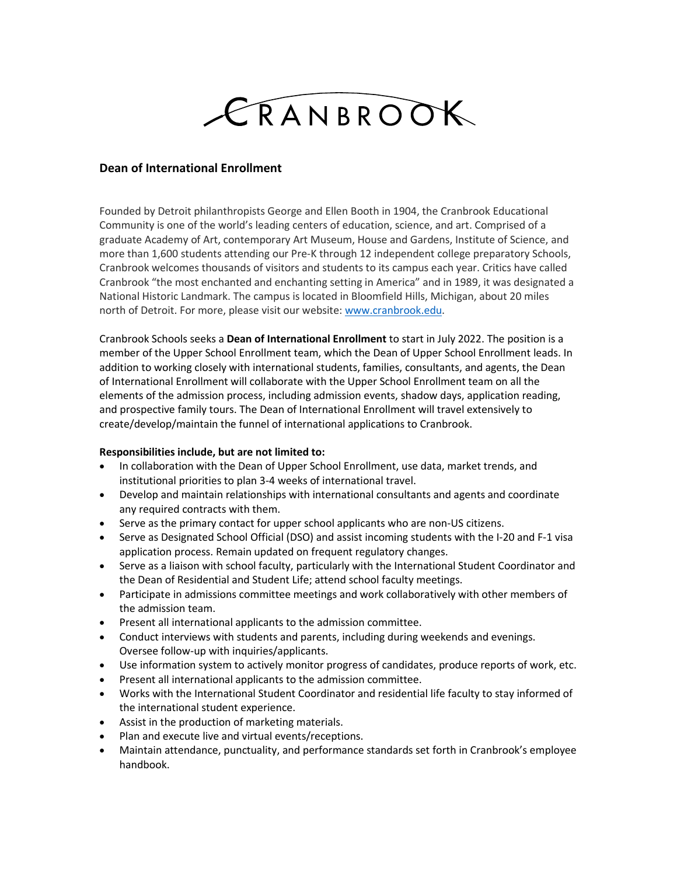## CRANBROOK

## **Dean of International Enrollment**

Founded by Detroit philanthropists George and Ellen Booth in 1904, the Cranbrook Educational Community is one of the world's leading centers of education, science, and art. Comprised of a graduate Academy of Art, contemporary Art Museum, House and Gardens, Institute of Science, and more than 1,600 students attending our Pre-K through 12 independent college preparatory Schools, Cranbrook welcomes thousands of visitors and students to its campus each year. Critics have called Cranbrook "the most enchanted and enchanting setting in America" and in 1989, it was designated a National Historic Landmark. The campus is located in Bloomfield Hills, Michigan, about 20 miles north of Detroit. For more, please visit our website: [www.cranbrook.edu.](http://www.cranbrook.edu/)

Cranbrook Schools seeks a **Dean of International Enrollment** to start in July 2022. The position is a member of the Upper School Enrollment team, which the Dean of Upper School Enrollment leads. In addition to working closely with international students, families, consultants, and agents, the Dean of International Enrollment will collaborate with the Upper School Enrollment team on all the elements of the admission process, including admission events, shadow days, application reading, and prospective family tours. The Dean of International Enrollment will travel extensively to create/develop/maintain the funnel of international applications to Cranbrook.

## **Responsibilities include, but are not limited to:**

- In collaboration with the Dean of Upper School Enrollment, use data, market trends, and institutional priorities to plan 3-4 weeks of international travel.
- Develop and maintain relationships with international consultants and agents and coordinate any required contracts with them.
- Serve as the primary contact for upper school applicants who are non-US citizens.
- Serve as Designated School Official (DSO) and assist incoming students with the I-20 and F-1 visa application process. Remain updated on frequent regulatory changes.
- Serve as a liaison with school faculty, particularly with the International Student Coordinator and the Dean of Residential and Student Life; attend school faculty meetings.
- Participate in admissions committee meetings and work collaboratively with other members of the admission team.
- Present all international applicants to the admission committee.
- Conduct interviews with students and parents, including during weekends and evenings. Oversee follow-up with inquiries/applicants.
- Use information system to actively monitor progress of candidates, produce reports of work, etc.
- Present all international applicants to the admission committee.
- Works with the International Student Coordinator and residential life faculty to stay informed of the international student experience.
- Assist in the production of marketing materials.
- Plan and execute live and virtual events/receptions.
- Maintain attendance, punctuality, and performance standards set forth in Cranbrook's employee handbook.